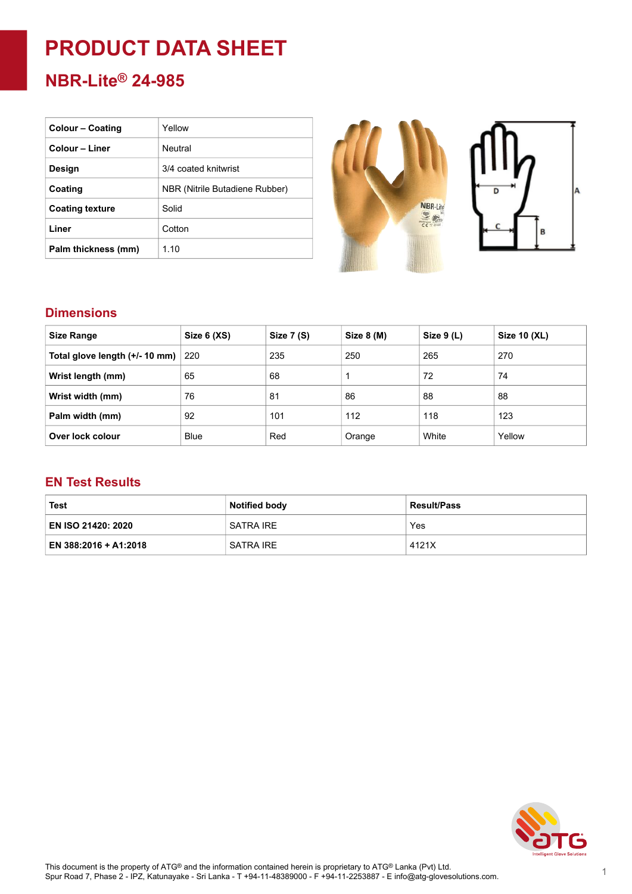# **PRODUCT DATA SHEET**

## **NBR-Lite® 24-985**

| <b>Colour – Coating</b> | Yellow                         |
|-------------------------|--------------------------------|
| Colour - Liner          | Neutral                        |
| Design                  | 3/4 coated knitwrist           |
| Coating                 | NBR (Nitrile Butadiene Rubber) |
| <b>Coating texture</b>  | Solid                          |
| Liner                   | Cotton                         |
| Palm thickness (mm)     | 1.10                           |



#### **Dimensions**

| <b>Size Range</b>              | Size 6 (XS) | Size 7 (S) | Size 8 (M) | Size 9 (L) | Size 10 (XL) |
|--------------------------------|-------------|------------|------------|------------|--------------|
| Total glove length (+/- 10 mm) | 220         | 235        | 250        | 265        | 270          |
| Wrist length (mm)              | 65          | 68         | 1          | 72         | 74           |
| Wrist width (mm)               | 76          | 81         | 86         | 88         | 88           |
| Palm width (mm)                | 92          | 101        | 112        | 118        | 123          |
| Over lock colour               | <b>Blue</b> | Red        | Orange     | White      | Yellow       |

#### **EN Test Results**

| <b>Test</b>               | <b>Notified body</b> | <b>Result/Pass</b> |  |
|---------------------------|----------------------|--------------------|--|
| <b>EN ISO 21420: 2020</b> | SATRA IRE            | Yes                |  |
| EN 388:2016 + A1:2018     | SATRA IRE            | 4121X              |  |

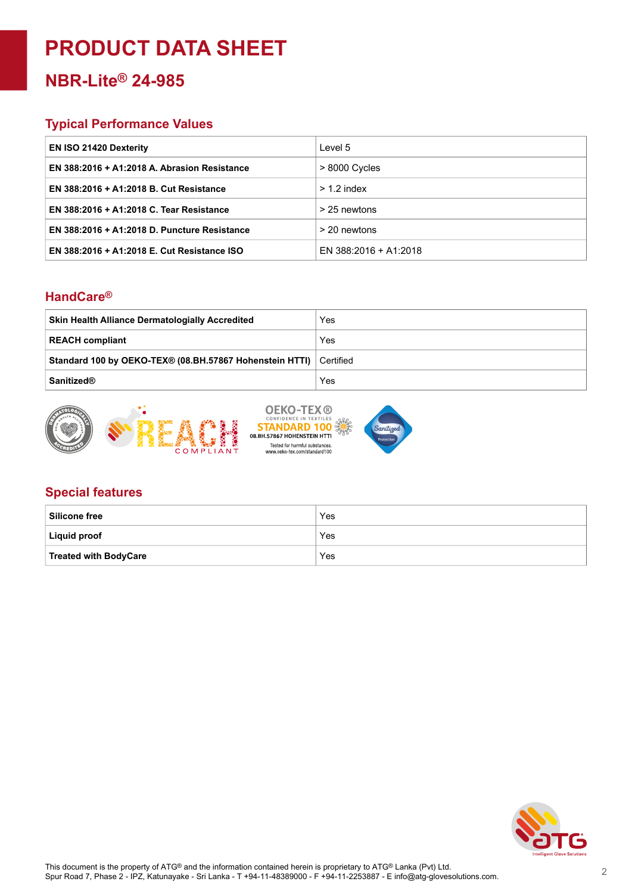## **PRODUCT DATA SHEET**

### **NBR-Lite® 24-985**

#### **Typical Performance Values**

| <b>EN ISO 21420 Dexterity</b>                | Level 5               |
|----------------------------------------------|-----------------------|
| EN 388:2016 + A1:2018 A. Abrasion Resistance | $>8000$ Cycles        |
| EN 388:2016 + A1:2018 B. Cut Resistance      | $> 1.2$ index         |
| EN 388:2016 + A1:2018 C. Tear Resistance     | > 25 newtons          |
| EN 388:2016 + A1:2018 D. Puncture Resistance | > 20 newtons          |
| EN 388:2016 + A1:2018 E. Cut Resistance ISO  | EN 388:2016 + A1:2018 |

#### **HandCare ®**

| <b>Skin Health Alliance Dermatologially Accredited</b>            | Yes |
|-------------------------------------------------------------------|-----|
| <b>REACH compliant</b>                                            | Yes |
| Standard 100 by OEKO-TEX® (08.BH.57867 Hohenstein HTTI) Certified |     |
| <b>Sanitized®</b>                                                 | Yes |



#### **Special features**

| <b>Silicone free</b>         | Yes |
|------------------------------|-----|
| <b>Liquid proof</b>          | Yes |
| <b>Treated with BodyCare</b> | Yes |